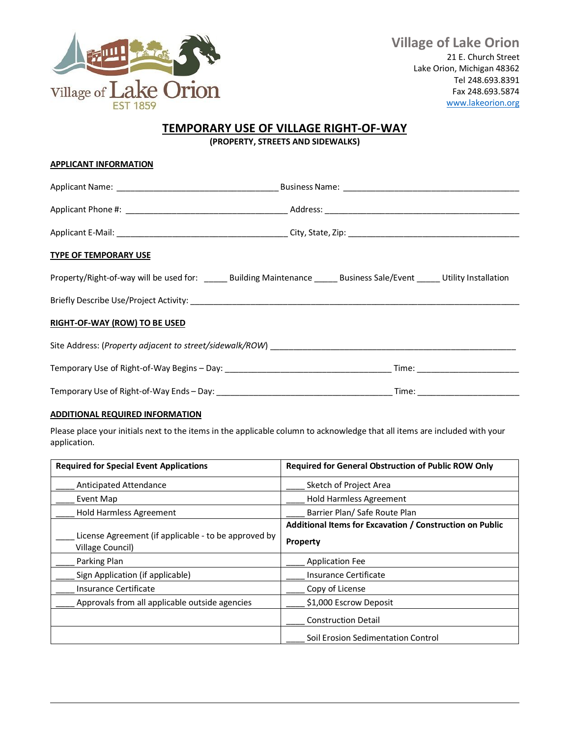

## **TEMPORARY USE OF VILLAGE RIGHT-OF-WAY**

**(PROPERTY, STREETS AND SIDEWALKS)**

| <b>APPLICANT INFORMATION</b>                                                                                                  |  |  |  |
|-------------------------------------------------------------------------------------------------------------------------------|--|--|--|
|                                                                                                                               |  |  |  |
|                                                                                                                               |  |  |  |
|                                                                                                                               |  |  |  |
| <b>TYPE OF TEMPORARY USE</b>                                                                                                  |  |  |  |
| Property/Right-of-way will be used for: ________ Building Maintenance _______ Business Sale/Event ______ Utility Installation |  |  |  |
|                                                                                                                               |  |  |  |
| RIGHT-OF-WAY (ROW) TO BE USED                                                                                                 |  |  |  |
|                                                                                                                               |  |  |  |
|                                                                                                                               |  |  |  |
|                                                                                                                               |  |  |  |

## **ADDITIONAL REQUIRED INFORMATION**

Please place your initials next to the items in the applicable column to acknowledge that all items are included with your application.

| <b>Required for Special Event Applications</b>                           | <b>Required for General Obstruction of Public ROW Only</b> |
|--------------------------------------------------------------------------|------------------------------------------------------------|
| <b>Anticipated Attendance</b>                                            | Sketch of Project Area                                     |
| Event Map                                                                | Hold Harmless Agreement                                    |
| <b>Hold Harmless Agreement</b>                                           | Barrier Plan/ Safe Route Plan                              |
|                                                                          | Additional Items for Excavation / Construction on Public   |
| License Agreement (if applicable - to be approved by<br>Village Council) | <b>Property</b>                                            |
| Parking Plan                                                             | Application Fee                                            |
| Sign Application (if applicable)                                         | <b>Insurance Certificate</b>                               |
| Insurance Certificate                                                    | Copy of License                                            |
| Approvals from all applicable outside agencies                           | \$1,000 Escrow Deposit                                     |
|                                                                          | <b>Construction Detail</b>                                 |
|                                                                          | Soil Erosion Sedimentation Control                         |